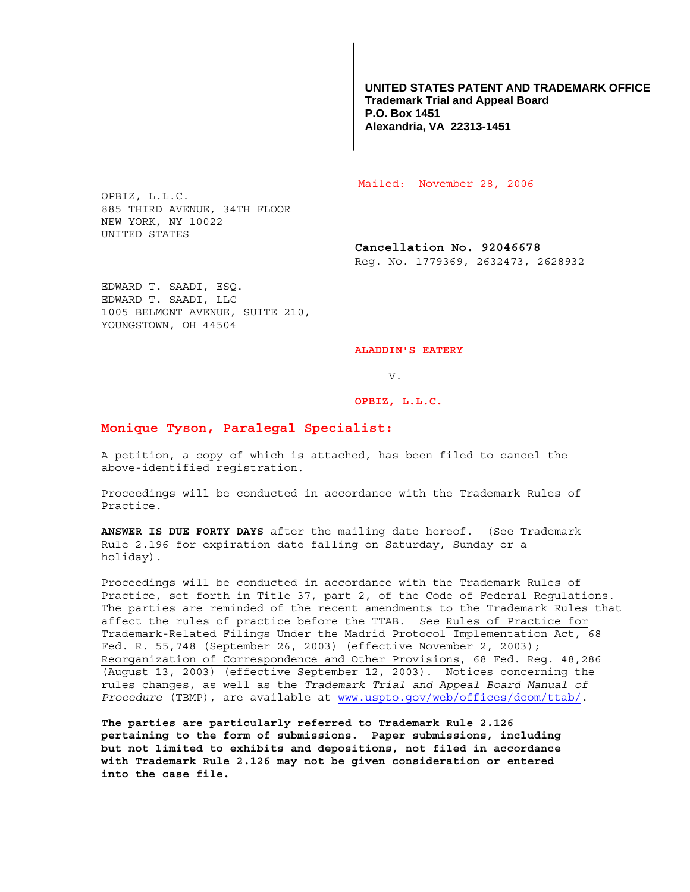**UNITED STATES PATENT AND TRADEMARK OFFICE Trademark Trial and Appeal Board P.O. Box 1451 Alexandria, VA 22313-1451**

Mailed: November 28, 2006

OPBIZ, L.L.C. 885 THIRD AVENUE, 34TH FLOOR NEW YORK, NY 10022 UNITED STATES

> **Cancellation No. 92046678**  Reg. No. 1779369, 2632473, 2628932

EDWARD T. SAADI, ESQ. EDWARD T. SAADI, LLC 1005 BELMONT AVENUE, SUITE 210, YOUNGSTOWN, OH 44504

**ALADDIN'S EATERY** 

V.

**OPBIZ, L.L.C.** 

## **Monique Tyson, Paralegal Specialist:**

A petition, a copy of which is attached, has been filed to cancel the above-identified registration.

Proceedings will be conducted in accordance with the Trademark Rules of Practice.

**ANSWER IS DUE FORTY DAYS** after the mailing date hereof. (See Trademark Rule 2.196 for expiration date falling on Saturday, Sunday or a holiday).

Proceedings will be conducted in accordance with the Trademark Rules of Practice, set forth in Title 37, part 2, of the Code of Federal Regulations. The parties are reminded of the recent amendments to the Trademark Rules that affect the rules of practice before the TTAB. *See* Rules of Practice for Trademark-Related Filings Under the Madrid Protocol Implementation Act, 68 Fed. R. 55,748 (September 26, 2003) (effective November 2, 2003); Reorganization of Correspondence and Other Provisions, 68 Fed. Reg. 48,286 (August 13, 2003) (effective September 12, 2003). Notices concerning the rules changes, as well as the *Trademark Trial and Appeal Board Manual of Procedure* (TBMP), are available at www.uspto.gov/web/offices/dcom/ttab/.

**The parties are particularly referred to Trademark Rule 2.126 pertaining to the form of submissions. Paper submissions, including but not limited to exhibits and depositions, not filed in accordance with Trademark Rule 2.126 may not be given consideration or entered into the case file.**